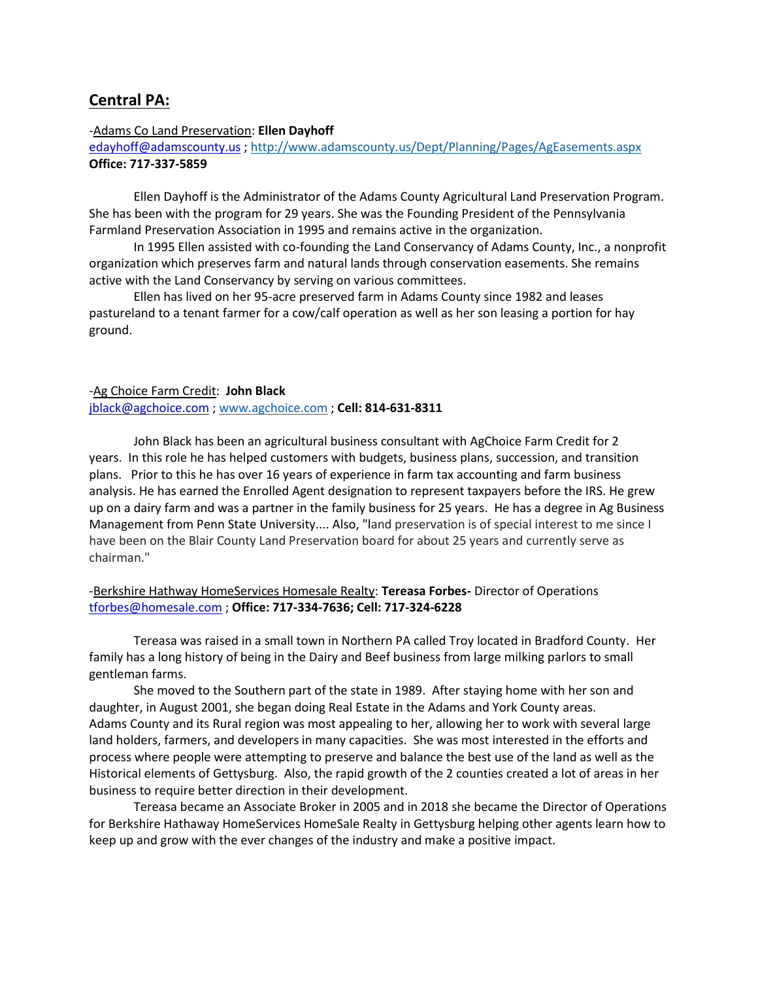# **Central PA:**

## -Adams Co Land Preservation: **Ellen Dayhoff**

[edayhoff@adamscounty.us](mailto:edayhoff@adamscounty.us) [; http://www.adamscounty.us/Dept/Planning/Pages/AgEasements.aspx](http://www.adamscounty.us/Dept/Planning/Pages/AgEasements.aspx) **Office: 717-337-5859**

Ellen Dayhoff is the Administrator of the Adams County Agricultural Land Preservation Program. She has been with the program for 29 years. She was the Founding President of the Pennsylvania Farmland Preservation Association in 1995 and remains active in the organization.

In 1995 Ellen assisted with co-founding the Land Conservancy of Adams County, Inc., a nonprofit organization which preserves farm and natural lands through conservation easements. She remains active with the Land Conservancy by serving on various committees.

Ellen has lived on her 95-acre preserved farm in Adams County since 1982 and leases pastureland to a tenant farmer for a cow/calf operation as well as her son leasing a portion for hay ground.

## -Ag Choice Farm Credit: **John Black**

[jblack@agchoice.com](mailto:jblack@agchoice.com) ; [www.agchoice.com](http://www.agchoice.com/) ; **Cell: 814-631-8311**

John Black has been an agricultural business consultant with AgChoice Farm Credit for 2 years. In this role he has helped customers with budgets, business plans, succession, and transition plans. Prior to this he has over 16 years of experience in farm tax accounting and farm business analysis. He has earned the Enrolled Agent designation to represent taxpayers before the IRS. He grew up on a dairy farm and was a partner in the family business for 25 years. He has a degree in Ag Business Management from Penn State University.... Also, "land preservation is of special interest to me since I have been on the Blair County Land Preservation board for about 25 years and currently serve as chairman."

## -Berkshire Hathway HomeServices Homesale Realty: **Tereasa Forbes-** Director of Operations [tforbes@homesale.com](mailto:tforbes@homesale.com) ; **Office: 717-334-7636; Cell: 717-324-6228**

Tereasa was raised in a small town in Northern PA called Troy located in Bradford County. Her family has a long history of being in the Dairy and Beef business from large milking parlors to small gentleman farms.

She moved to the Southern part of the state in 1989. After staying home with her son and daughter, in August 2001, she began doing Real Estate in the Adams and York County areas. Adams County and its Rural region was most appealing to her, allowing her to work with several large land holders, farmers, and developers in many capacities. She was most interested in the efforts and process where people were attempting to preserve and balance the best use of the land as well as the Historical elements of Gettysburg. Also, the rapid growth of the 2 counties created a lot of areas in her business to require better direction in their development.

Tereasa became an Associate Broker in 2005 and in 2018 she became the Director of Operations for Berkshire Hathaway HomeServices HomeSale Realty in Gettysburg helping other agents learn how to keep up and grow with the ever changes of the industry and make a positive impact.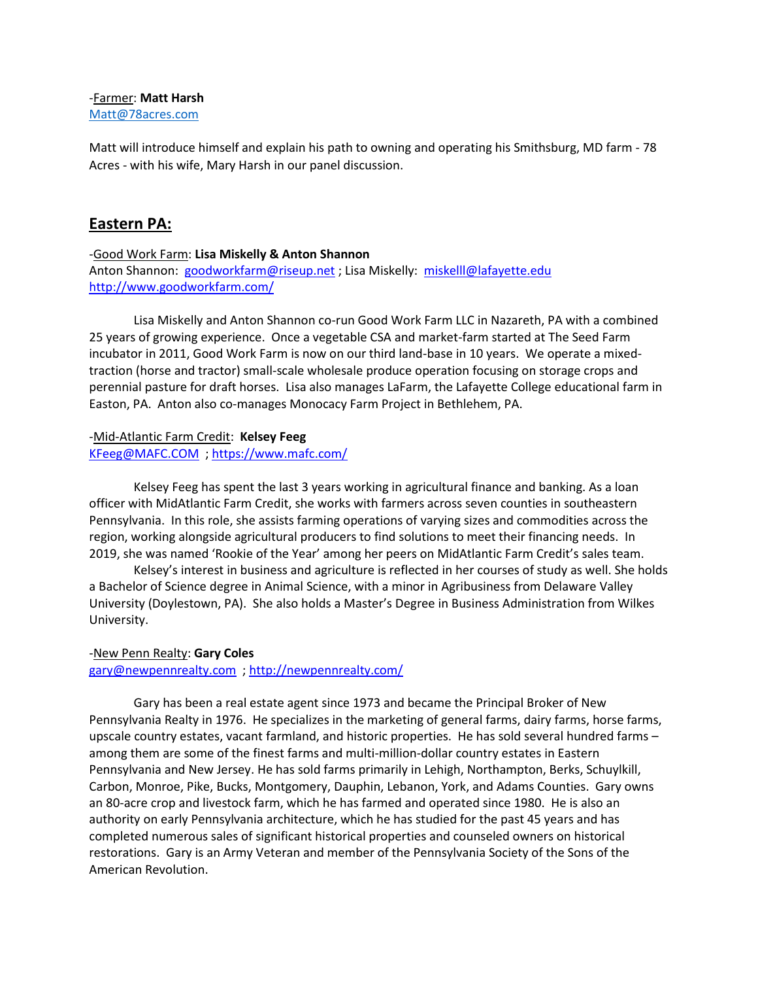## -Farmer: **Matt Harsh** [Matt@78acres.com](mailto:Matt@78acres.com)

Matt will introduce himself and explain his path to owning and operating his Smithsburg, MD farm - 78 Acres - with his wife, Mary Harsh in our panel discussion.

# **Eastern PA:**

## -Good Work Farm: **Lisa Miskelly & Anton Shannon**

Anton Shannon: [goodworkfarm@riseup.net](mailto:goodworkfarm@riseup.net) ; Lisa Miskelly: [miskelll@lafayette.edu](mailto:miskelll@lafayette.edu) <http://www.goodworkfarm.com/>

Lisa Miskelly and Anton Shannon co-run Good Work Farm LLC in Nazareth, PA with a combined 25 years of growing experience. Once a vegetable CSA and market-farm started at The Seed Farm incubator in 2011, Good Work Farm is now on our third land-base in 10 years. We operate a mixedtraction (horse and tractor) small-scale wholesale produce operation focusing on storage crops and perennial pasture for draft horses. Lisa also manages LaFarm, the Lafayette College educational farm in Easton, PA. Anton also co-manages Monocacy Farm Project in Bethlehem, PA.

-Mid-Atlantic Farm Credit: **Kelsey Feeg** [KFeeg@MAFC.COM](mailto:KFeeg@MAFC.COM) ;<https://www.mafc.com/>

Kelsey Feeg has spent the last 3 years working in agricultural finance and banking. As a loan officer with MidAtlantic Farm Credit, she works with farmers across seven counties in southeastern Pennsylvania. In this role, she assists farming operations of varying sizes and commodities across the region, working alongside agricultural producers to find solutions to meet their financing needs. In 2019, she was named 'Rookie of the Year' among her peers on MidAtlantic Farm Credit's sales team.

Kelsey's interest in business and agriculture is reflected in her courses of study as well. She holds a Bachelor of Science degree in Animal Science, with a minor in Agribusiness from Delaware Valley University (Doylestown, PA). She also holds a Master's Degree in Business Administration from Wilkes University.

#### -New Penn Realty: **Gary Coles**

[gary@newpennrealty.com](mailto:gary@newpennrealty.com) ;<http://newpennrealty.com/>

Gary has been a real estate agent since 1973 and became the Principal Broker of New Pennsylvania Realty in 1976. He specializes in the marketing of general farms, dairy farms, horse farms, upscale country estates, vacant farmland, and historic properties. He has sold several hundred farms – among them are some of the finest farms and multi-million-dollar country estates in Eastern Pennsylvania and New Jersey. He has sold farms primarily in Lehigh, Northampton, Berks, Schuylkill, Carbon, Monroe, Pike, Bucks, Montgomery, Dauphin, Lebanon, York, and Adams Counties. Gary owns an 80-acre crop and livestock farm, which he has farmed and operated since 1980. He is also an authority on early Pennsylvania architecture, which he has studied for the past 45 years and has completed numerous sales of significant historical properties and counseled owners on historical restorations. Gary is an Army Veteran and member of the Pennsylvania Society of the Sons of the American Revolution.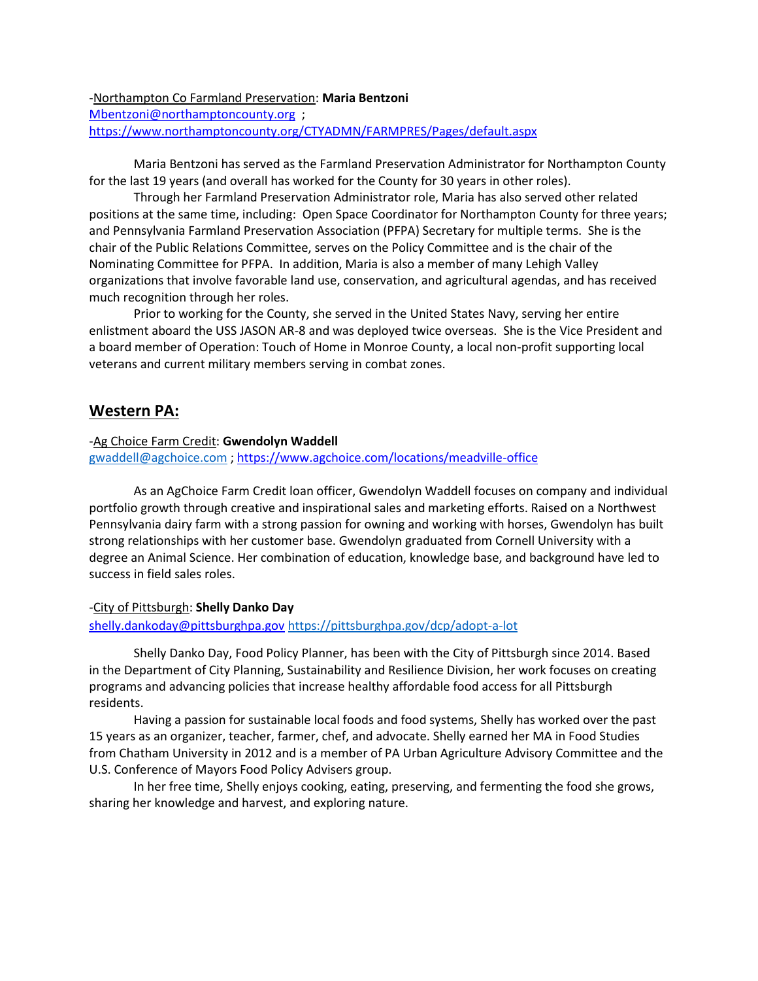-Northampton Co Farmland Preservation: **Maria Bentzoni** [Mbentzoni@northamptoncounty.org](mailto:Mbentzoni@northamptoncounty.org) ; <https://www.northamptoncounty.org/CTYADMN/FARMPRES/Pages/default.aspx>

Maria Bentzoni has served as the Farmland Preservation Administrator for Northampton County for the last 19 years (and overall has worked for the County for 30 years in other roles).

Through her Farmland Preservation Administrator role, Maria has also served other related positions at the same time, including: Open Space Coordinator for Northampton County for three years; and Pennsylvania Farmland Preservation Association (PFPA) Secretary for multiple terms. She is the chair of the Public Relations Committee, serves on the Policy Committee and is the chair of the Nominating Committee for PFPA. In addition, Maria is also a member of many Lehigh Valley organizations that involve favorable land use, conservation, and agricultural agendas, and has received much recognition through her roles.

Prior to working for the County, she served in the United States Navy, serving her entire enlistment aboard the USS JASON AR-8 and was deployed twice overseas. She is the Vice President and a board member of Operation: Touch of Home in Monroe County, a local non-profit supporting local veterans and current military members serving in combat zones.

## **Western PA:**

## -Ag Choice Farm Credit: **Gwendolyn Waddell**

[gwaddell@agchoice.com](mailto:gwaddell@agchoice.com) [; https://www.agchoice.com/locations/meadville-office](https://www.agchoice.com/locations/meadville-office)

As an AgChoice Farm Credit loan officer, Gwendolyn Waddell focuses on company and individual portfolio growth through creative and inspirational sales and marketing efforts. Raised on a Northwest Pennsylvania dairy farm with a strong passion for owning and working with horses, Gwendolyn has built strong relationships with her customer base. Gwendolyn graduated from Cornell University with a degree an Animal Science. Her combination of education, knowledge base, and background have led to success in field sales roles.

## -City of Pittsburgh: **Shelly Danko Day**  [shelly.dankoday@pittsburghpa.gov](mailto:%3Cshelly.dankoday@pittsburghpa.gov) <https://pittsburghpa.gov/dcp/adopt-a-lot>

Shelly Danko Day, Food Policy Planner, has been with the City of Pittsburgh since 2014. Based in the Department of City Planning, Sustainability and Resilience Division, her work focuses on creating programs and advancing policies that increase healthy affordable food access for all Pittsburgh residents.  

Having a passion for sustainable local foods and food systems, Shelly has worked over the past 15 years as an organizer, teacher, farmer, chef, and advocate. Shelly earned her MA in Food Studies from Chatham University in 2012 and is a member of PA Urban Agriculture Advisory Committee and the U.S. Conference of Mayors Food Policy Advisers group. 

In her free time, Shelly enjoys cooking, eating, preserving, and fermenting the food she grows, sharing her knowledge and harvest, and exploring nature.